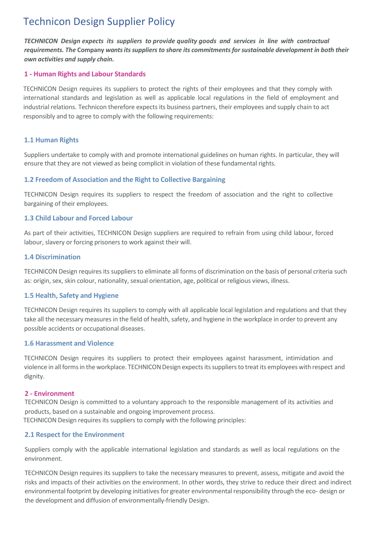# Technicon Design Supplier Policy

*TECHNICON Design expects its suppliers to provide quality goods and services in line with contractual requirements. The* **Company** *wantsitssuppliersto share its commitmentsforsustainable development in both their own activities and supply chain.*

## **1 - Human Rights and Labour Standards**

TECHNICON Design requires its suppliers to protect the rights of their employees and that they comply with international standards and legislation as well as applicable local regulations in the field of employment and industrial relations. Technicon therefore expects its business partners, their employees and supply chain to act responsibly and to agree to comply with the following requirements:

# **1.1 Human Rights**

Suppliers undertake to comply with and promote international guidelines on human rights. In particular, they will ensure that they are not viewed as being complicit in violation of these fundamental rights.

# **1.2 Freedom of Association and the Right to Collective Bargaining**

TECHNICON Design requires its suppliers to respect the freedom of association and the right to collective bargaining of their employees.

# **1.3 Child Labour and Forced Labour**

As part of their activities, TECHNICON Design suppliers are required to refrain from using child labour, forced labour, slavery or forcing prisoners to work against their will.

## **1.4 Discrimination**

TECHNICON Design requires its suppliers to eliminate all forms of discrimination on the basis of personal criteria such as: origin, sex, skin colour, nationality, sexual orientation, age, political or religious views, illness.

## **1.5 Health, Safety and Hygiene**

TECHNICON Design requires its suppliers to comply with all applicable local legislation and regulations and that they take all the necessary measures in the field of health, safety, and hygiene in the workplace in order to prevent any possible accidents or occupational diseases.

## **1.6 Harassment and Violence**

TECHNICON Design requires its suppliers to protect their employees against harassment, intimidation and violence in all forms in the workplace. TECHNICON Design expects its suppliers to treat its employees with respect and dignity.

## **2 - Environment**

TECHNICON Design is committed to a voluntary approach to the responsible management of its activities and products, based on a sustainable and ongoing improvement process.

TECHNICON Design requires its suppliers to comply with the following principles:

# **2.1 Respect for the Environment**

Suppliers comply with the applicable international legislation and standards as well as local regulations on the environment.

TECHNICON Design requires its suppliers to take the necessary measures to prevent, assess, mitigate and avoid the risks and impacts of their activities on the environment. In other words, they strive to reduce their direct and indirect environmental footprint by developing initiatives for greater environmental responsibility through the eco- design or the development and diffusion of environmentally-friendly Design.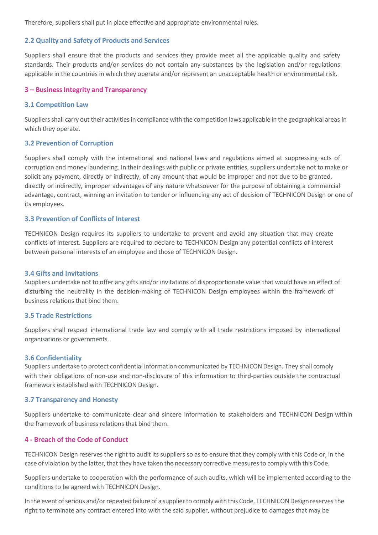Therefore, suppliers shall put in place effective and appropriate environmental rules.

## **2.2 Quality and Safety of Products and Services**

Suppliers shall ensure that the products and services they provide meet all the applicable quality and safety standards. Their products and/or services do not contain any substances by the legislation and/or regulations applicable in the countries in which they operate and/or represent an unacceptable health or environmental risk.

#### **3 – BusinessIntegrity and Transparency**

#### **3.1 Competition Law**

Suppliers shall carry out their activities in compliance with the competition laws applicable in the geographical areas in which they operate.

#### **3.2 Prevention of Corruption**

Suppliers shall comply with the international and national laws and regulations aimed at suppressing acts of corruption and money laundering. In their dealings with public or private entities, suppliers undertake not to make or solicit any payment, directly or indirectly, of any amount that would be improper and not due to be granted, directly or indirectly, improper advantages of any nature whatsoever for the purpose of obtaining a commercial advantage, contract, winning an invitation to tender or influencing any act of decision of TECHNICON Design or one of its employees.

## **3.3 Prevention of Conflicts of Interest**

TECHNICON Design requires its suppliers to undertake to prevent and avoid any situation that may create conflicts of interest. Suppliers are required to declare to TECHNICON Design any potential conflicts of interest between personal interests of an employee and those of TECHNICON Design.

#### **3.4 Gifts and Invitations**

Suppliers undertake not to offer any gifts and/or invitations of disproportionate value that would have an effect of disturbing the neutrality in the decision-making of TECHNICON Design employees within the framework of business relations that bind them.

#### **3.5 Trade Restrictions**

Suppliers shall respect international trade law and comply with all trade restrictions imposed by international organisations or governments.

#### **3.6 Confidentiality**

Suppliers undertake to protect confidential information communicated by TECHNICON Design. They shall comply with their obligations of non-use and non-disclosure of this information to third-parties outside the contractual framework established with TECHNICON Design.

#### **3.7 Transparency and Honesty**

Suppliers undertake to communicate clear and sincere information to stakeholders and TECHNICON Design within the framework of business relations that bind them.

## **4 - Breach of the Code of Conduct**

TECHNICON Design reserves the right to audit its suppliers so as to ensure that they comply with this Code or, in the case of violation by the latter, that they have taken the necessary corrective measures to comply with this Code.

Suppliers undertake to cooperation with the performance of such audits, which will be implemented according to the conditions to be agreed with TECHNICON Design.

In the event of serious and/or repeated failure of a supplier to comply with this Code, TECHNICON Design reserves the right to terminate any contract entered into with the said supplier, without prejudice to damages that may be